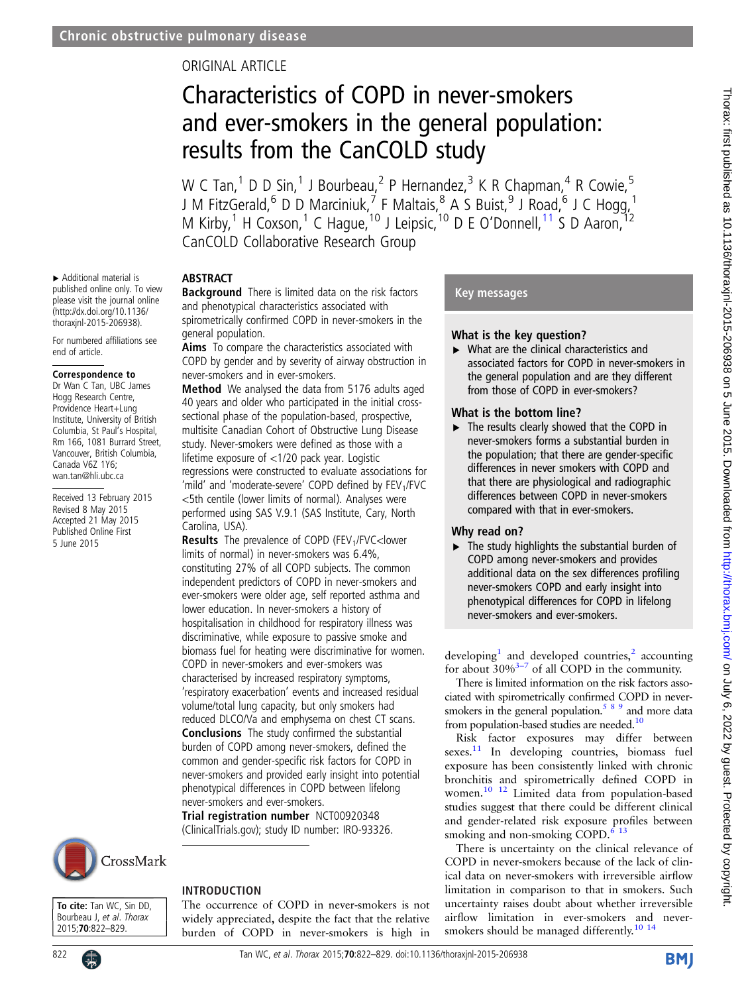### ORIGINAL ARTICLE

## Characteristics of COPD in never-smokers and ever-smokers in the general population: results from the CanCOLD study

W C Tan,<sup>1</sup> D D Sin,<sup>1</sup> J Bourbeau,<sup>2</sup> P Hernandez,<sup>3</sup> K R Chapman,<sup>4</sup> R Cowie,<sup>5</sup> J M FitzGerald,  $^6$  D D Marciniuk,  $^7$  F Maltais,  $^8$  A S Buist,  $^9$  J Road,  $^6$  J C Hogg,  $^1$ M Kirby,<sup>1</sup> H Coxson,<sup>1</sup> C Hague,<sup>10</sup> J Leipsic,<sup>10</sup> D E O'Donnell,<sup>[11](#page-7-0)</sup> S D Aaron,<sup>12</sup> CanCOLD Collaborative Research Group

#### ABSTRACT

▸ Additional material is published online only. To view please visit the journal online [\(http://dx.doi.org/10.1136/](http://dx.doi.org/10.1136/thoraxjnl-2015-206938) [thoraxjnl-2015-206938\)](http://dx.doi.org/10.1136/thoraxjnl-2015-206938). For numbered affiliations see

Correspondence to Dr Wan C Tan, UBC James Hogg Research Centre, Providence Heart+Lung Institute, University of British Columbia, St Paul's Hospital, Rm 166, 1081 Burrard Street, Vancouver, British Columbia, Canada V6Z 1Y6; wan.tan@hli.ubc.ca

Received 13 February 2015 Revised 8 May 2015 Accepted 21 May 2015 Published Online First 5 June 2015

end of article.

**Background** There is limited data on the risk factors and phenotypical characteristics associated with spirometrically confirmed COPD in never-smokers in the general population.

Aims To compare the characteristics associated with COPD by gender and by severity of airway obstruction in never-smokers and in ever-smokers.

Method We analysed the data from 5176 adults aged 40 years and older who participated in the initial crosssectional phase of the population-based, prospective, multisite Canadian Cohort of Obstructive Lung Disease study. Never-smokers were defined as those with a lifetime exposure of <1/20 pack year. Logistic regressions were constructed to evaluate associations for 'mild' and 'moderate-severe' COPD defined by  $FEV<sub>1</sub>/FVC$ <5th centile (lower limits of normal). Analyses were performed using SAS V.9.1 (SAS Institute, Cary, North Carolina, USA).

Results The prevalence of COPD (FEV1/FVC<lower limits of normal) in never-smokers was 6.4%, constituting 27% of all COPD subjects. The common independent predictors of COPD in never-smokers and ever-smokers were older age, self reported asthma and lower education. In never-smokers a history of hospitalisation in childhood for respiratory illness was discriminative, while exposure to passive smoke and biomass fuel for heating were discriminative for women. COPD in never-smokers and ever-smokers was characterised by increased respiratory symptoms, 'respiratory exacerbation' events and increased residual volume/total lung capacity, but only smokers had reduced DLCO/Va and emphysema on chest CT scans. Conclusions The study confirmed the substantial burden of COPD among never-smokers, defined the common and gender-specific risk factors for COPD in never-smokers and provided early insight into potential phenotypical differences in COPD between lifelong never-smokers and ever-smokers.

Trial registration number NCT00920348 (ClinicalTrials.gov); study ID number: IRO-93326.

# CrossMark

To cite: Tan WC, Sin DD, Bourbeau J, et al. Thorax 2015;70:822–829.

#### INTRODUCTION

The occurrence of COPD in never-smokers is not widely appreciated, despite the fact that the relative burden of COPD in never-smokers is high in

#### Key messages

#### What is the key question?

 $\triangleright$  What are the clinical characteristics and associated factors for COPD in never-smokers in the general population and are they different from those of COPD in ever-smokers?

#### What is the bottom line?

▸ The results clearly showed that the COPD in never-smokers forms a substantial burden in the population; that there are gender-specific differences in never smokers with COPD and that there are physiological and radiographic differences between COPD in never-smokers compared with that in ever-smokers.

#### Why read on?

 $\blacktriangleright$  The study highlights the substantial burden of COPD among never-smokers and provides additional data on the sex differences profiling never-smokers COPD and early insight into phenotypical differences for COPD in lifelong never-smokers and ever-smokers.

developing<sup>[1](#page-7-0)</sup> and developed countries,<sup>[2](#page-7-0)</sup> accounting for about  $30\%^{3-7}$  of all COPD in the community.

There is limited information on the risk factors associated with spirometrically confirmed COPD in neversmokers in the general population.<sup>589</sup> and more data from population-based studies are needed.<sup>10</sup>

Risk factor exposures may differ between sexes.<sup>11</sup> In developing countries, biomass fuel exposure has been consistently linked with chronic bronchitis and spirometrically defined COPD in women.<sup>[10 12](#page-7-0)</sup> Limited data from population-based studies suggest that there could be different clinical and gender-related risk exposure profiles between smoking and non-smoking COPD. $613$ 

There is uncertainty on the clinical relevance of COPD in never-smokers because of the lack of clinical data on never-smokers with irreversible airflow limitation in comparison to that in smokers. Such uncertainty raises doubt about whether irreversible airflow limitation in ever-smokers and neversmokers should be managed differently.<sup>10</sup> <sup>14</sup>

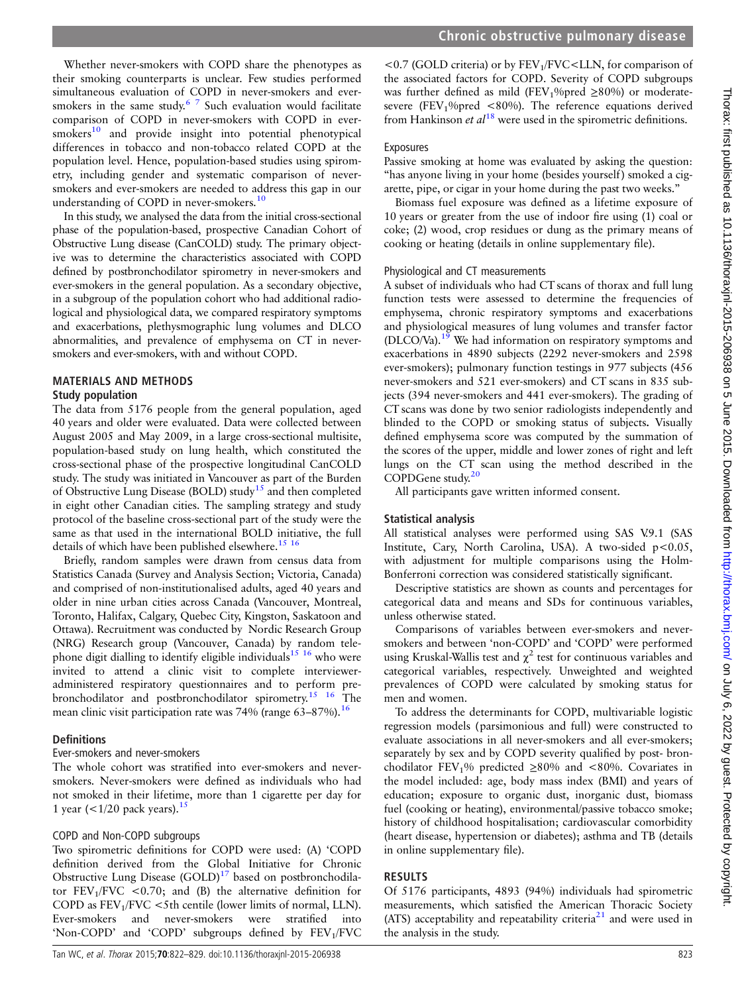Whether never-smokers with COPD share the phenotypes as their smoking counterparts is unclear. Few studies performed simultaneous evaluation of COPD in never-smokers and eversmokers in the same study. $67$  Such evaluation would facilitate comparison of COPD in never-smokers with COPD in ever-smokers<sup>[10](#page-7-0)</sup> and provide insight into potential phenotypical differences in tobacco and non-tobacco related COPD at the population level. Hence, population-based studies using spirometry, including gender and systematic comparison of neversmokers and ever-smokers are needed to address this gap in our understanding of COPD in never-smokers.<sup>[10](#page-7-0)</sup>

In this study, we analysed the data from the initial cross-sectional phase of the population-based, prospective Canadian Cohort of Obstructive Lung disease (CanCOLD) study. The primary objective was to determine the characteristics associated with COPD defined by postbronchodilator spirometry in never-smokers and ever-smokers in the general population. As a secondary objective, in a subgroup of the population cohort who had additional radiological and physiological data, we compared respiratory symptoms and exacerbations, plethysmographic lung volumes and DLCO abnormalities, and prevalence of emphysema on CT in neversmokers and ever-smokers, with and without COPD.

#### MATERIALS AND METHODS

#### Study population

The data from 5176 people from the general population, aged 40 years and older were evaluated. Data were collected between August 2005 and May 2009, in a large cross-sectional multisite, population-based study on lung health, which constituted the cross-sectional phase of the prospective longitudinal CanCOLD study. The study was initiated in Vancouver as part of the Burden of Obstructive Lung Disease (BOLD) study<sup>[15](#page-7-0)</sup> and then completed in eight other Canadian cities. The sampling strategy and study protocol of the baseline cross-sectional part of the study were the same as that used in the international BOLD initiative, the full details of which have been published elsewhere.<sup>[15 16](#page-7-0)</sup>

Briefly, random samples were drawn from census data from Statistics Canada (Survey and Analysis Section; Victoria, Canada) and comprised of non-institutionalised adults, aged 40 years and older in nine urban cities across Canada (Vancouver, Montreal, Toronto, Halifax, Calgary, Quebec City, Kingston, Saskatoon and Ottawa). Recruitment was conducted by Nordic Research Group (NRG) Research group (Vancouver, Canada) by random tele-phone digit dialling to identify eligible individuals<sup>[15 16](#page-7-0)</sup> who were invited to attend a clinic visit to complete intervieweradministered respiratory questionnaires and to perform prebronchodilator and postbronchodilator spirometry.<sup>15</sup> <sup>16</sup> The mean clinic visit participation rate was 74% (range 63–87%).<sup>16</sup>

#### **Definitions**

#### Ever-smokers and never-smokers

The whole cohort was stratified into ever-smokers and neversmokers. Never-smokers were defined as individuals who had not smoked in their lifetime, more than 1 cigarette per day for 1 year  $( $1/20$  pack years).<sup>[15](#page-7-0)</sup>$ 

#### COPD and Non-COPD subgroups

Two spirometric definitions for COPD were used: (A) 'COPD definition derived from the Global Initiative for Chronic Obstructive Lung Disease  $(GOLD)<sup>17</sup>$  $(GOLD)<sup>17</sup>$  $(GOLD)<sup>17</sup>$  based on postbronchodilator  $FEV<sub>1</sub>/FVC < 0.70$ ; and (B) the alternative definition for COPD as  $FEV_1/FVC < 5$ th centile (lower limits of normal, LLN). Ever-smokers and never-smokers were stratified into 'Non-COPD' and 'COPD' subgroups defined by FEV1/FVC

 $<$  0.7 (GOLD criteria) or by FEV<sub>1</sub>/FVC $<$ LLN, for comparison of the associated factors for COPD. Severity of COPD subgroups was further defined as mild (FEV<sub>1</sub>%pred  $\geq$ 80%) or moderatesevere (FEV<sub>1</sub>%pred <80%). The reference equations derived from Hankinson et  $al^{18}$  $al^{18}$  $al^{18}$  were used in the spirometric definitions.

#### Exposures

Passive smoking at home was evaluated by asking the question: "has anyone living in your home (besides yourself) smoked a cigarette, pipe, or cigar in your home during the past two weeks."

Biomass fuel exposure was defined as a lifetime exposure of 10 years or greater from the use of indoor fire using (1) coal or coke; (2) wood, crop residues or dung as the primary means of cooking or heating (details in online supplementary file).

#### Physiological and CT measurements

A subset of individuals who had CT scans of thorax and full lung function tests were assessed to determine the frequencies of emphysema, chronic respiratory symptoms and exacerbations and physiological measures of lung volumes and transfer factor  $(DLCO/Va)$ .<sup>[19](#page-7-0)</sup> We had information on respiratory symptoms and exacerbations in 4890 subjects (2292 never-smokers and 2598 ever-smokers); pulmonary function testings in 977 subjects (456 never-smokers and 521 ever-smokers) and CT scans in 835 subjects (394 never-smokers and 441 ever-smokers). The grading of CT scans was done by two senior radiologists independently and blinded to the COPD or smoking status of subjects. Visually defined emphysema score was computed by the summation of the scores of the upper, middle and lower zones of right and left lungs on the CT scan using the method described in the COPDGene study.[20](#page-7-0)

All participants gave written informed consent.

#### Statistical analysis

All statistical analyses were performed using SAS V.9.1 (SAS Institute, Cary, North Carolina, USA). A two-sided p<0.05, with adjustment for multiple comparisons using the Holm-Bonferroni correction was considered statistically significant.

Descriptive statistics are shown as counts and percentages for categorical data and means and SDs for continuous variables, unless otherwise stated.

Comparisons of variables between ever-smokers and neversmokers and between 'non-COPD' and 'COPD' were performed using Kruskal-Wallis test and  $\chi^2$  test for continuous variables and categorical variables, respectively. Unweighted and weighted prevalences of COPD were calculated by smoking status for men and women.

To address the determinants for COPD, multivariable logistic regression models (parsimonious and full) were constructed to evaluate associations in all never-smokers and all ever-smokers; separately by sex and by COPD severity qualified by post- bronchodilator FEV<sub>1</sub>% predicted ≥80% and <80%. Covariates in the model included: age, body mass index (BMI) and years of education; exposure to organic dust, inorganic dust, biomass fuel (cooking or heating), environmental/passive tobacco smoke; history of childhood hospitalisation; cardiovascular comorbidity (heart disease, hypertension or diabetes); asthma and TB (details in online supplementary file).

#### RESULTS

Of 5176 participants, 4893 (94%) individuals had spirometric measurements, which satisfied the American Thoracic Society (ATS) acceptability and repeatability criteria<sup>[21](#page-7-0)</sup> and were used in the analysis in the study.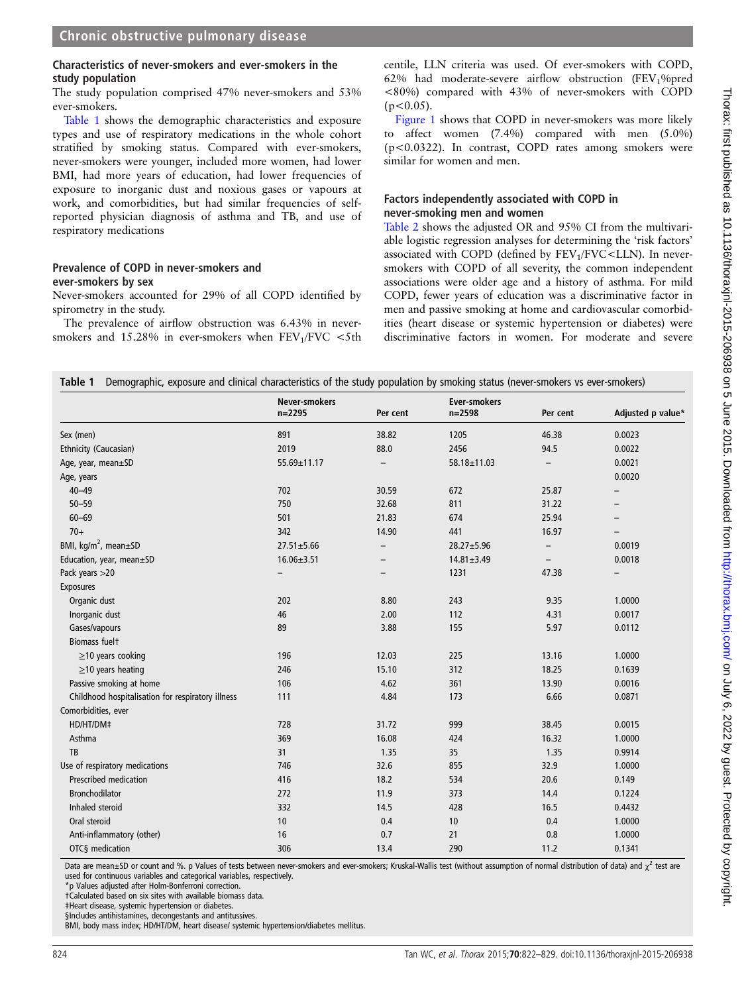#### Characteristics of never-smokers and ever-smokers in the study population

The study population comprised 47% never-smokers and 53% ever-smokers.

Table 1 shows the demographic characteristics and exposure types and use of respiratory medications in the whole cohort stratified by smoking status. Compared with ever-smokers, never-smokers were younger, included more women, had lower BMI, had more years of education, had lower frequencies of exposure to inorganic dust and noxious gases or vapours at work, and comorbidities, but had similar frequencies of selfreported physician diagnosis of asthma and TB, and use of respiratory medications

#### Prevalence of COPD in never-smokers and ever-smokers by sex

Never-smokers accounted for 29% of all COPD identified by spirometry in the study.

The prevalence of airflow obstruction was 6.43% in neversmokers and  $15.28\%$  in ever-smokers when  $FEV_1/FVC < 5th$ 

centile, LLN criteria was used. Of ever-smokers with COPD, 62% had moderate-severe airflow obstruction (FEV<sub>1</sub>%pred <80%) compared with 43% of never-smokers with COPD  $(p<0.05)$ .

[Figure 1](#page-3-0) shows that COPD in never-smokers was more likely to affect women (7.4%) compared with men (5.0%) (p<0.0322). In contrast, COPD rates among smokers were similar for women and men.

#### Factors independently associated with COPD in never-smoking men and women

[Table 2](#page-3-0) shows the adjusted OR and 95% CI from the multivariable logistic regression analyses for determining the 'risk factors' associated with COPD (defined by  $FEV<sub>1</sub>/FVC < LLN$ ). In neversmokers with COPD of all severity, the common independent associations were older age and a history of asthma. For mild COPD, fewer years of education was a discriminative factor in men and passive smoking at home and cardiovascular comorbidities (heart disease or systemic hypertension or diabetes) were discriminative factors in women. For moderate and severe

|                                                   | <b>Never-smokers</b><br>$n = 2295$ | Per cent                 | <b>Ever-smokers</b><br>$n = 2598$ | Per cent                 | Adjusted p value*        |
|---------------------------------------------------|------------------------------------|--------------------------|-----------------------------------|--------------------------|--------------------------|
| Sex (men)                                         | 891                                | 38.82                    | 1205                              | 46.38                    | 0.0023                   |
| Ethnicity (Caucasian)                             | 2019                               | 88.0                     | 2456                              | 94.5                     | 0.0022                   |
| Age, year, mean±SD                                | 55.69±11.17                        | $\overline{\phantom{0}}$ | 58.18±11.03                       | $\overline{\phantom{0}}$ | 0.0021                   |
| Age, years                                        |                                    |                          |                                   |                          | 0.0020                   |
| $40 - 49$                                         | 702                                | 30.59                    | 672                               | 25.87                    |                          |
| $50 - 59$                                         | 750                                | 32.68                    | 811                               | 31.22                    | $\overline{\phantom{0}}$ |
| $60 - 69$                                         | 501                                | 21.83                    | 674                               | 25.94                    |                          |
| $70+$                                             | 342                                | 14.90                    | 441                               | 16.97                    |                          |
| BMI, kg/m <sup>2</sup> , mean±SD                  | $27.51 \pm 5.66$                   | $\qquad \qquad -$        | 28.27±5.96                        | $\overline{\phantom{0}}$ | 0.0019                   |
| Education, year, mean±SD                          | $16.06 \pm 3.51$                   | $\overline{\phantom{0}}$ | $14.81 \pm 3.49$                  | $\overline{\phantom{a}}$ | 0.0018                   |
| Pack years >20                                    | $\overline{\phantom{0}}$           |                          | 1231                              | 47.38                    |                          |
| <b>Exposures</b>                                  |                                    |                          |                                   |                          |                          |
| Organic dust                                      | 202                                | 8.80                     | 243                               | 9.35                     | 1.0000                   |
| Inorganic dust                                    | 46                                 | 2.00                     | 112                               | 4.31                     | 0.0017                   |
| Gases/vapours                                     | 89                                 | 3.88                     | 155                               | 5.97                     | 0.0112                   |
| <b>Biomass fuelt</b>                              |                                    |                          |                                   |                          |                          |
| $\geq$ 10 years cooking                           | 196                                | 12.03                    | 225                               | 13.16                    | 1.0000                   |
| $\geq$ 10 years heating                           | 246                                | 15.10                    | 312                               | 18.25                    | 0.1639                   |
| Passive smoking at home                           | 106                                | 4.62                     | 361                               | 13.90                    | 0.0016                   |
| Childhood hospitalisation for respiratory illness | 111                                | 4.84                     | 173                               | 6.66                     | 0.0871                   |
| Comorbidities, ever                               |                                    |                          |                                   |                          |                          |
| HD/HT/DM‡                                         | 728                                | 31.72                    | 999                               | 38.45                    | 0.0015                   |
| Asthma                                            | 369                                | 16.08                    | 424                               | 16.32                    | 1.0000                   |
| TB                                                | 31                                 | 1.35                     | 35                                | 1.35                     | 0.9914                   |
| Use of respiratory medications                    | 746                                | 32.6                     | 855                               | 32.9                     | 1.0000                   |
| Prescribed medication                             | 416                                | 18.2                     | 534                               | 20.6                     | 0.149                    |
| Bronchodilator                                    | 272                                | 11.9                     | 373                               | 14.4                     | 0.1224                   |
| Inhaled steroid                                   | 332                                | 14.5                     | 428                               | 16.5                     | 0.4432                   |
| Oral steroid                                      | 10                                 | 0.4                      | 10                                | 0.4                      | 1.0000                   |
| Anti-inflammatory (other)                         | 16                                 | 0.7                      | 21                                | 0.8                      | 1.0000                   |
| OTC§ medication                                   | 306                                | 13.4                     | 290                               | 11.2                     | 0.1341                   |

Data are mean±SD or count and %. p Values of tests between never-smokers and ever-smokers; Kruskal-Wallis test (without assumption of normal distribution of data) and  $\chi^2$  test are used for continuous variables and categorical variables, respectively.

\*p Values adjusted after Holm-Bonferroni correction.

†Calculated based on six sites with available biomass data.

‡Heart disease, systemic hypertension or diabetes.

§Includes antihistamines, decongestants and antitussives.

BMI, body mass index; HD/HT/DM, heart disease/ systemic hypertension/diabetes mellitus.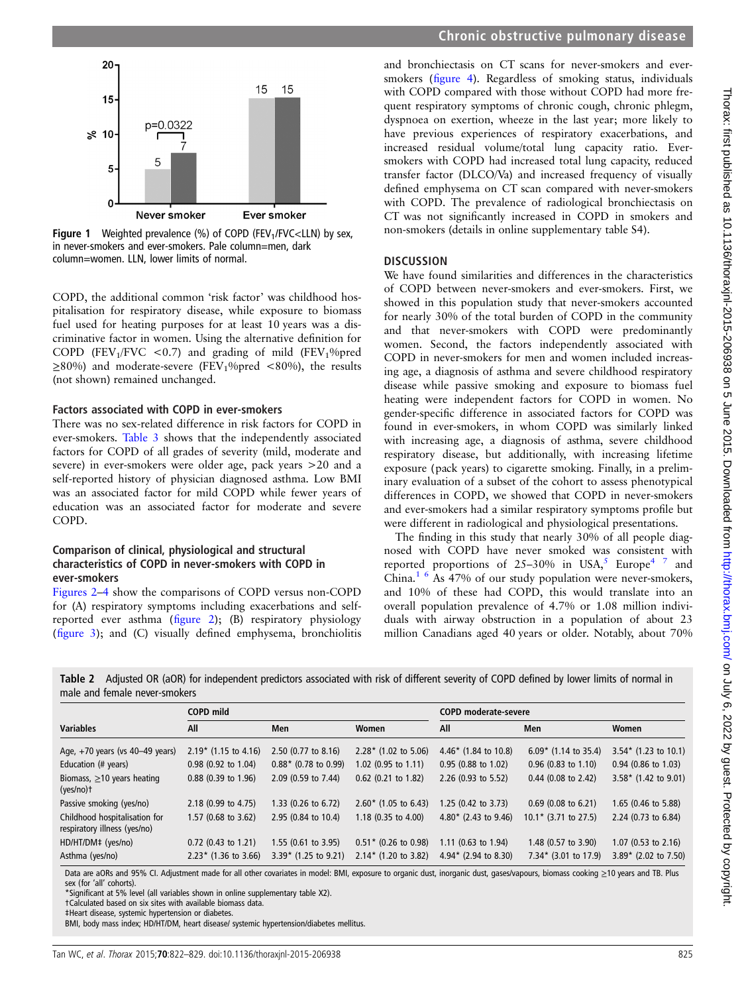<span id="page-3-0"></span>

Figure 1 Weighted prevalence (%) of COPD (FEV<sub>1</sub>/FVC<LLN) by sex, in never-smokers and ever-smokers. Pale column=men, dark column=women. LLN, lower limits of normal.

COPD, the additional common 'risk factor' was childhood hospitalisation for respiratory disease, while exposure to biomass fuel used for heating purposes for at least 10 years was a discriminative factor in women. Using the alternative definition for COPD (FEV<sub>1</sub>/FVC <0.7) and grading of mild (FEV<sub>1</sub>%pred  $\geq$ 80%) and moderate-severe (FEV<sub>1</sub>%pred <80%), the results (not shown) remained unchanged.

#### Factors associated with COPD in ever-smokers

There was no sex-related difference in risk factors for COPD in ever-smokers. [Table 3](#page-4-0) shows that the independently associated factors for COPD of all grades of severity (mild, moderate and severe) in ever-smokers were older age, pack years >20 and a self-reported history of physician diagnosed asthma. Low BMI was an associated factor for mild COPD while fewer years of education was an associated factor for moderate and severe COPD.

#### Comparison of clinical, physiological and structural characteristics of COPD in never-smokers with COPD in ever-smokers

[Figures 2](#page-4-0)–[4](#page-5-0) show the comparisons of COPD versus non-COPD for (A) respiratory symptoms including exacerbations and selfreported ever asthma (fi[gure 2](#page-4-0)); (B) respiratory physiology (fi[gure 3\)](#page-5-0); and (C) visually defined emphysema, bronchiolitis

and bronchiectasis on CT scans for never-smokers and eversmokers (fi[gure 4\)](#page-5-0). Regardless of smoking status, individuals with COPD compared with those without COPD had more frequent respiratory symptoms of chronic cough, chronic phlegm, dyspnoea on exertion, wheeze in the last year; more likely to have previous experiences of respiratory exacerbations, and increased residual volume/total lung capacity ratio. Eversmokers with COPD had increased total lung capacity, reduced transfer factor (DLCO/Va) and increased frequency of visually defined emphysema on CT scan compared with never-smokers with COPD. The prevalence of radiological bronchiectasis on CT was not significantly increased in COPD in smokers and non-smokers (details in online [supplementary table](http://thorax.bmj.com/lookup/suppl/doi:10.1136/thoraxjnl-2015-206938/-/DC1) S4).

#### **DISCUSSION**

We have found similarities and differences in the characteristics of COPD between never-smokers and ever-smokers. First, we showed in this population study that never-smokers accounted for nearly 30% of the total burden of COPD in the community and that never-smokers with COPD were predominantly women. Second, the factors independently associated with COPD in never-smokers for men and women included increasing age, a diagnosis of asthma and severe childhood respiratory disease while passive smoking and exposure to biomass fuel heating were independent factors for COPD in women. No gender-specific difference in associated factors for COPD was found in ever-smokers, in whom COPD was similarly linked with increasing age, a diagnosis of asthma, severe childhood respiratory disease, but additionally, with increasing lifetime exposure (pack years) to cigarette smoking. Finally, in a preliminary evaluation of a subset of the cohort to assess phenotypical differences in COPD, we showed that COPD in never-smokers and ever-smokers had a similar respiratory symptoms profile but were different in radiological and physiological presentations.

The finding in this study that nearly 30% of all people diagnosed with COPD have never smoked was consistent with reported proportions of  $25-30\%$  $25-30\%$  $25-30\%$  in USA,<sup>5</sup> Europe<sup>[4 7](#page-7-0)</sup> and China.<sup>1 6</sup> As  $47%$  of our study population were never-smokers, and 10% of these had COPD, this would translate into an overall population prevalence of 4.7% or 1.08 million individuals with airway obstruction in a population of about 23 million Canadians aged 40 years or older. Notably, about 70%

Table 2 Adjusted OR (aOR) for independent predictors associated with risk of different severity of COPD defined by lower limits of normal in male and female never-smokers

|                                                               | COPD mild              |                               |                                | <b>COPD moderate-severe</b>     |                        |                                 |  |  |
|---------------------------------------------------------------|------------------------|-------------------------------|--------------------------------|---------------------------------|------------------------|---------------------------------|--|--|
| <b>Variables</b>                                              | All                    | Men                           | Women                          | All                             | Men                    | Women                           |  |  |
| Age, $+70$ years (vs $40-49$ years)                           | $2.19*$ (1.15 to 4.16) | 2.50 (0.77 to 8.16)           | $2.28*$ (1.02 to 5.06)         | 4.46* $(1.84 \text{ to } 10.8)$ | $6.09*$ (1.14 to 35.4) | $3.54*$ (1.23 to 10.1)          |  |  |
| Education (# years)                                           | $0.98$ (0.92 to 1.04)  | $0.88*$ (0.78 to 0.99)        | 1.02 $(0.95 \text{ to } 1.11)$ | 0.95 (0.88 to 1.02)             | $0.96$ (0.83 to 1.10)  | $0.94$ (0.86 to 1.03)           |  |  |
| Biomass, $\geq$ 10 years heating<br>$(yes/no)$ †              | $0.88$ (0.39 to 1.96)  | 2.09 (0.59 to 7.44)           | 0.62 (0.21 to 1.82)            | 2.26 (0.93 to 5.52)             | $0.44$ (0.08 to 2.42)  | 3.58* $(1.42 \text{ to } 9.01)$ |  |  |
| Passive smoking (yes/no)                                      | 2.18 (0.99 to 4.75)    | 1.33 (0.26 to 6.72)           | $2.60*$ (1.05 to 6.43)         | 1.25 (0.42 to 3.73)             | $0.69$ (0.08 to 6.21)  | 1.65 (0.46 to 5.88)             |  |  |
| Childhood hospitalisation for<br>respiratory illness (yes/no) | 1.57 (0.68 to 3.62)    | 2.95 (0.84 to 10.4)           | 1.18 $(0.35 \text{ to } 4.00)$ | 4.80* (2.43 to 9.46)            | $10.1*$ (3.71 to 27.5) | 2.24 (0.73 to 6.84)             |  |  |
| HD/HT/DM‡ (yes/no)                                            | $0.72$ (0.43 to 1.21)  | $1.55(0.61 \text{ to } 3.95)$ | $0.51*$ (0.26 to 0.98)         | 1.11 $(0.63 \text{ to } 1.94)$  | 1.48 (0.57 to 3.90)    | 1.07 $(0.53$ to 2.16)           |  |  |
| Asthma (yes/no)                                               | $2.23*$ (1.36 to 3.66) | $3.39*$ (1.25 to 9.21)        | $2.14*$ (1.20 to 3.82)         | $4.94*$ (2.94 to 8.30)          | $7.34*$ (3.01 to 17.9) | 3.89* (2.02 to 7.50)            |  |  |

Data are aORs and 95% CI. Adjustment made for all other covariates in model: BMI, exposure to organic dust, inorganic dust, gases/vapours, biomass cooking ≥10 years and TB. Plus sex (for 'all' cohorts).

\*Significant at 5% level (all variables shown in online [supplementary table](http://thorax.bmj.com/lookup/suppl/doi:10.1136/thoraxjnl-2015-206938/-/DC1) X2).

†Calculated based on six sites with available biomass data.

‡Heart disease, systemic hypertension or diabetes.

BMI, body mass index; HD/HT/DM, heart disease/ systemic hypertension/diabetes mellitus.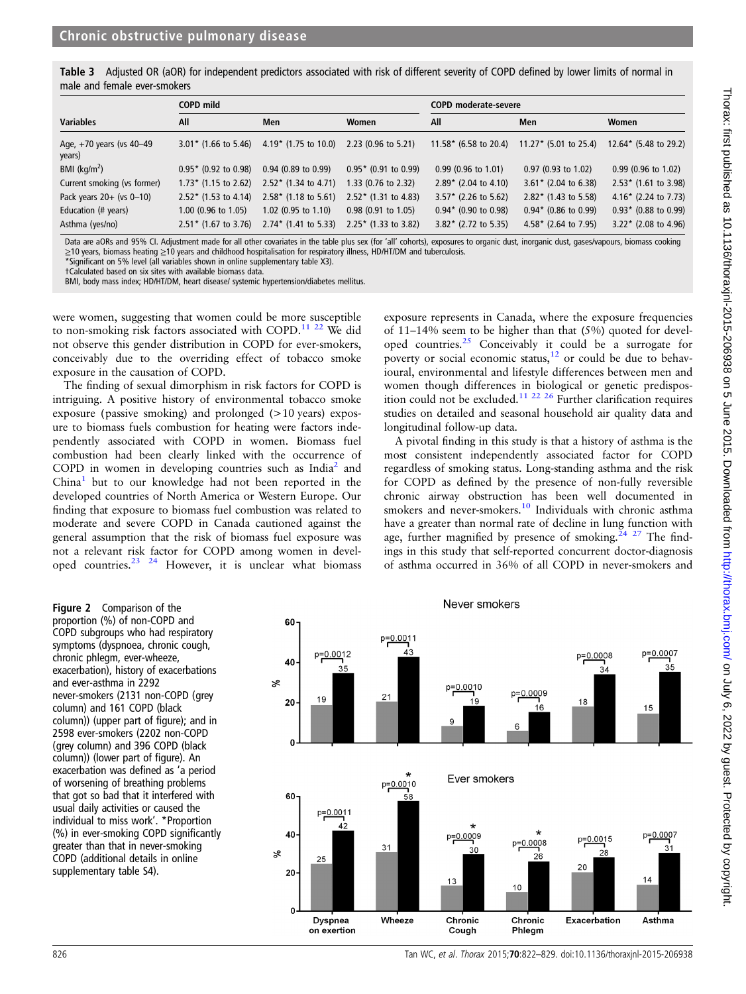<span id="page-4-0"></span>

| Table 3 Adjusted OR (aOR) for independent predictors associated with risk of different severity of COPD defined by lower limits of normal in |  |  |  |  |  |  |
|----------------------------------------------------------------------------------------------------------------------------------------------|--|--|--|--|--|--|
| male and female ever-smokers                                                                                                                 |  |  |  |  |  |  |

|                                    | COPD mild                |                                |                               | <b>COPD moderate-severe</b> |                                                                   |                                 |  |  |
|------------------------------------|--------------------------|--------------------------------|-------------------------------|-----------------------------|-------------------------------------------------------------------|---------------------------------|--|--|
| <b>Variables</b>                   | All                      | Men                            | Women                         | All                         | Men                                                               | Women                           |  |  |
| Age, +70 years (vs 40-49<br>years) | $3.01*$ (1.66 to 5.46)   | $4.19*$ (1.75 to 10.0)         | $2.23$ (0.96 to 5.21)         |                             | 11.58* $(6.58 \text{ to } 20.4)$ 11.27* $(5.01 \text{ to } 25.4)$ | $12.64*$ (5.48 to 29.2)         |  |  |
| BMI ( $kg/m2$ )                    | $0.95*$ (0.92 to 0.98)   | $0.94$ (0.89 to 0.99)          | $0.95*$ (0.91 to 0.99)        | $0.99$ (0.96 to 1.01)       | $0.97$ (0.93 to 1.02)                                             | $0.99$ (0.96 to 1.02)           |  |  |
| Current smoking (vs former)        | $1.73*$ (1.15 to 2.62)   | $2.52*$ (1.34 to 4.71)         | 1.33 (0.76 to 2.32)           | $2.89*$ (2.04 to 4.10)      | $3.61*$ (2.04 to 6.38)                                            | $2.53*$ (1.61 to 3.98)          |  |  |
| Pack years $20+$ (vs $0-10$ )      | $2.52*$ (1.53 to 4.14)   | $2.58*$ (1.18 to 5.61)         | $2.52*$ (1.31 to 4.83)        | $3.57*$ (2.26 to 5.62)      | $2.82*$ (1.43 to 5.58)                                            | 4.16* $(2.24 \text{ to } 7.73)$ |  |  |
| Education (# years)                | $1.00$ (0.96 to $1.05$ ) | 1.02 $(0.95 \text{ to } 1.10)$ | $0.98(0.91 \text{ to } 1.05)$ | $0.94*$ (0.90 to 0.98)      | $0.94*$ (0.86 to 0.99)                                            | $0.93*$ (0.88 to 0.99)          |  |  |
| Asthma (yes/no)                    | $2.51*$ (1.67 to 3.76)   | $2.74*$ (1.41 to 5.33)         | $2.25*$ (1.33 to 3.82)        | $3.82*$ (2.72 to 5.35)      | $4.58*$ (2.64 to 7.95)                                            | $3.22*$ (2.08 to 4.96)          |  |  |

Data are aORs and 95% CI. Adjustment made for all other covariates in the table plus sex (for 'all' cohorts), exposures to organic dust, inorganic dust, gases/vapours, biomass cooking ≥10 years, biomass heating ≥10 years and childhood hospitalisation for respiratory illness, HD/HT/DM and tuberculosis.

\*Significant on 5% level (all variables shown in online [supplementary table](http://thorax.bmj.com/lookup/suppl/doi:10.1136/thoraxjnl-2015-206938/-/DC1) X3).

†Calculated based on six sites with available biomass data.

BMI, body mass index; HD/HT/DM, heart disease/ systemic hypertension/diabetes mellitus.

were women, suggesting that women could be more susceptible to non-smoking risk factors associated with COPD.<sup>[11 22](#page-7-0)</sup> We did not observe this gender distribution in COPD for ever-smokers, conceivably due to the overriding effect of tobacco smoke exposure in the causation of COPD.

The finding of sexual dimorphism in risk factors for COPD is intriguing. A positive history of environmental tobacco smoke exposure (passive smoking) and prolonged (>10 years) exposure to biomass fuels combustion for heating were factors independently associated with COPD in women. Biomass fuel combustion had been clearly linked with the occurrence of COPD in women in developing countries such as India<sup>2</sup> and  $China<sup>1</sup>$  $China<sup>1</sup>$  $China<sup>1</sup>$  but to our knowledge had not been reported in the developed countries of North America or Western Europe. Our finding that exposure to biomass fuel combustion was related to moderate and severe COPD in Canada cautioned against the general assumption that the risk of biomass fuel exposure was not a relevant risk factor for COPD among women in developed countries.[23 24](#page-7-0) However, it is unclear what biomass

exposure represents in Canada, where the exposure frequencies of 11–14% seem to be higher than that (5%) quoted for developed countries.[25](#page-7-0) Conceivably it could be a surrogate for poverty or social economic status,<sup>[12](#page-7-0)</sup> or could be due to behavioural, environmental and lifestyle differences between men and women though differences in biological or genetic predispos-ition could not be excluded.<sup>[11 22 26](#page-7-0)</sup> Further clarification requires studies on detailed and seasonal household air quality data and longitudinal follow-up data.

A pivotal finding in this study is that a history of asthma is the most consistent independently associated factor for COPD regardless of smoking status. Long-standing asthma and the risk for COPD as defined by the presence of non-fully reversible chronic airway obstruction has been well documented in smokers and never-smokers.<sup>10</sup> Individuals with chronic asthma have a greater than normal rate of decline in lung function with age, further magnified by presence of smoking.<sup>[24 27](#page-7-0)</sup> The findings in this study that self-reported concurrent doctor-diagnosis of asthma occurred in 36% of all COPD in never-smokers and

Figure 2 Comparison of the proportion (%) of non-COPD and COPD subgroups who had respiratory symptoms (dyspnoea, chronic cough, chronic phlegm, ever-wheeze, exacerbation), history of exacerbations and ever-asthma in 2292 never-smokers (2131 non-COPD (grey column) and 161 COPD (black column)) (upper part of figure); and in 2598 ever-smokers (2202 non-COPD (grey column) and 396 COPD (black column)) (lower part of figure). An exacerbation was defined as 'a period of worsening of breathing problems that got so bad that it interfered with usual daily activities or caused the individual to miss work'. \*Proportion (%) in ever-smoking COPD significantly greater than that in never-smoking COPD (additional details in online [supplementary table](http://thorax.bmj.com/lookup/suppl/doi:10.1136/thoraxjnl-2015-206938/-/DC1) S4).

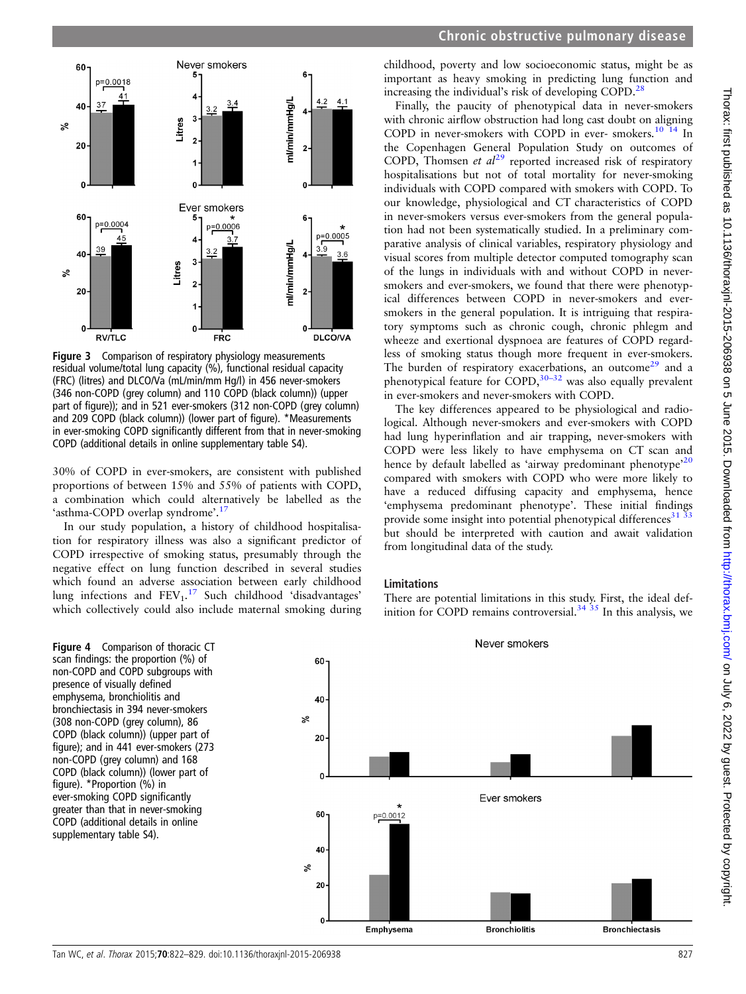<span id="page-5-0"></span>

Figure 3 Comparison of respiratory physiology measurements residual volume/total lung capacity (%), functional residual capacity (FRC) (litres) and DLCO/Va (mL/min/mm Hg/l) in 456 never-smokers (346 non-COPD (grey column) and 110 COPD (black column)) (upper part of figure)); and in 521 ever-smokers (312 non-COPD (grey column) and 209 COPD (black column)) (lower part of figure). \*Measurements in ever-smoking COPD significantly different from that in never-smoking COPD (additional details in online [supplementary table](http://thorax.bmj.com/lookup/suppl/doi:10.1136/thoraxjnl-2015-206938/-/DC1) S4).

30% of COPD in ever-smokers, are consistent with published proportions of between 15% and 55% of patients with COPD, a combination which could alternatively be labelled as the 'asthma-COPD overlap syndrome'.<sup>[17](#page-7-0)</sup>

In our study population, a history of childhood hospitalisation for respiratory illness was also a significant predictor of COPD irrespective of smoking status, presumably through the negative effect on lung function described in several studies which found an adverse association between early childhood lung infections and  $FEV_1$ .<sup>[17](#page-7-0)</sup> Such childhood 'disadvantages' which collectively could also include maternal smoking during



childhood, poverty and low socioeconomic status, might be as important as heavy smoking in predicting lung function and increasing the individual's risk of developing COPD.<sup>[28](#page-7-0)</sup>

Finally, the paucity of phenotypical data in never-smokers with chronic airflow obstruction had long cast doubt on aligning COPD in never-smokers with COPD in ever- smokers.<sup>[10 14](#page-7-0)</sup> In the Copenhagen General Population Study on outcomes of COPD, Thomsen et  $al^{29}$  $al^{29}$  $al^{29}$  reported increased risk of respiratory hospitalisations but not of total mortality for never-smoking individuals with COPD compared with smokers with COPD. To our knowledge, physiological and CT characteristics of COPD in never-smokers versus ever-smokers from the general population had not been systematically studied. In a preliminary comparative analysis of clinical variables, respiratory physiology and visual scores from multiple detector computed tomography scan of the lungs in individuals with and without COPD in neversmokers and ever-smokers, we found that there were phenotypical differences between COPD in never-smokers and eversmokers in the general population. It is intriguing that respiratory symptoms such as chronic cough, chronic phlegm and wheeze and exertional dyspnoea are features of COPD regardless of smoking status though more frequent in ever-smokers. The burden of respiratory exacerbations, an outcome<sup>[29](#page-7-0)</sup> and a phenotypical feature for COPD, $30-32$  $30-32$  was also equally prevalent in ever-smokers and never-smokers with COPD.

The key differences appeared to be physiological and radiological. Although never-smokers and ever-smokers with COPD had lung hyperinflation and air trapping, never-smokers with COPD were less likely to have emphysema on CT scan and hence by default labelled as 'airway predominant phenotype<sup>[20](#page-7-0)</sup> compared with smokers with COPD who were more likely to have a reduced diffusing capacity and emphysema, hence 'emphysema predominant phenotype'. These initial findings provide some insight into potential phenotypical differences $31$ but should be interpreted with caution and await validation from longitudinal data of the study.

#### Limitations

60

There are potential limitations in this study. First, the ideal definition for COPD remains controversial. $34\overline{35}$  In this analysis, we

Never smokers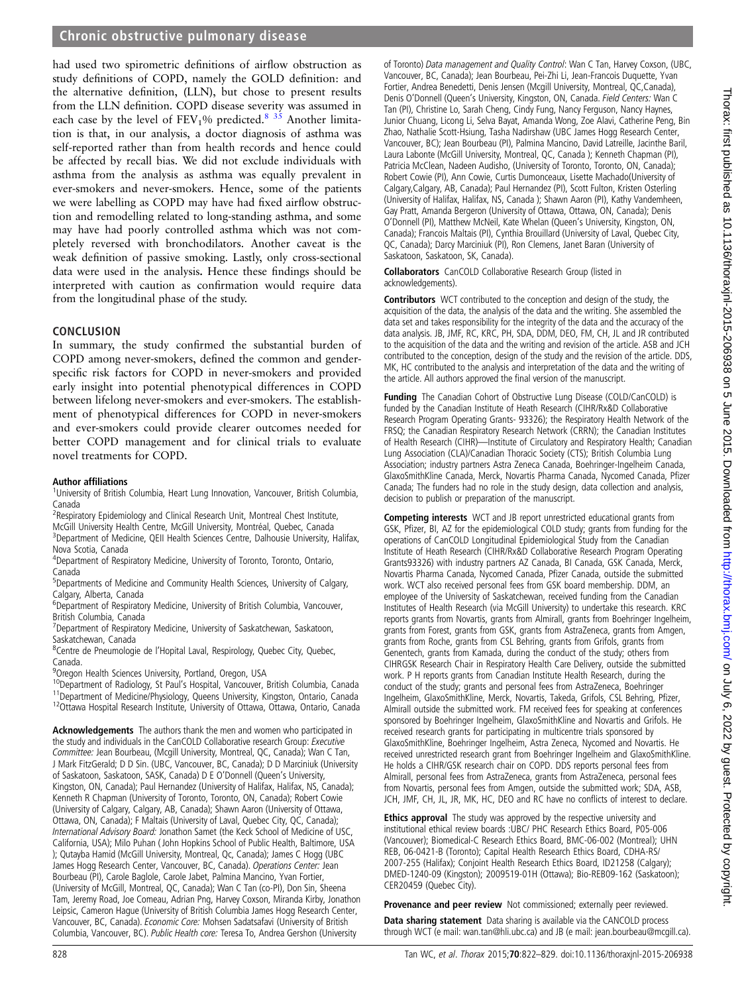had used two spirometric definitions of airflow obstruction as study definitions of COPD, namely the GOLD definition: and the alternative definition, (LLN), but chose to present results from the LLN definition. COPD disease severity was assumed in each case by the level of  $FEV<sub>1</sub>%$  predicted.<sup>8</sup> <sup>35</sup> Another limitation is that, in our analysis, a doctor diagnosis of asthma was self-reported rather than from health records and hence could be affected by recall bias. We did not exclude individuals with asthma from the analysis as asthma was equally prevalent in ever-smokers and never-smokers. Hence, some of the patients we were labelling as COPD may have had fixed airflow obstruction and remodelling related to long-standing asthma, and some may have had poorly controlled asthma which was not completely reversed with bronchodilators. Another caveat is the weak definition of passive smoking. Lastly, only cross-sectional data were used in the analysis. Hence these findings should be interpreted with caution as confirmation would require data from the longitudinal phase of the study.

#### **CONCLUSION**

In summary, the study confirmed the substantial burden of COPD among never-smokers, defined the common and genderspecific risk factors for COPD in never-smokers and provided early insight into potential phenotypical differences in COPD between lifelong never-smokers and ever-smokers. The establishment of phenotypical differences for COPD in never-smokers and ever-smokers could provide clearer outcomes needed for better COPD management and for clinical trials to evaluate novel treatments for COPD.

#### Author affiliations <sup>1</sup>

<sup>1</sup>University of British Columbia, Heart Lung Innovation, Vancouver, British Columbia, Canada

<sup>2</sup> Respiratory Epidemiology and Clinical Research Unit, Montreal Chest Institute,

McGill University Health Centre, McGill University, Montréal, Quebec, Canada <sup>3</sup>Department of Medicine, QEII Health Sciences Centre, Dalhousie University, Halifax,

Nova Scotia, Canada 4 Department of Respiratory Medicine, University of Toronto, Toronto, Ontario,

Canada

5 Departments of Medicine and Community Health Sciences, University of Calgary, Calgary, Alberta, Canada

<sup>6</sup>Department of Respiratory Medicine, University of British Columbia, Vancouver, British Columbia, Canada

<sup>7</sup> Department of Respiratory Medicine, University of Saskatchewan, Saskatoon, Saskatchewan, Canada

<sup>8</sup>Centre de Pneumologie de l'Hopital Laval, Respirology, Quebec City, Quebec, Canada.

<sup>9</sup> Oregon Health Sciences University, Portland, Oregon, USA

<sup>10</sup>Department of Radiology, St Paul's Hospital, Vancouver, British Columbia, Canada<br><sup>11</sup>Department of Medicine/Physiology, Queens University, Kingston, Ontario, Canada<br><sup>12</sup>Ottawa Hospital Research Institute, University o

Acknowledgements The authors thank the men and women who participated in the study and individuals in the CanCOLD Collaborative research Group: Executive Committee: Jean Bourbeau, (Mcgill University, Montreal, QC, Canada); Wan C Tan, J Mark FitzGerald; D D Sin. (UBC, Vancouver, BC, Canada); D D Marciniuk (University of Saskatoon, Saskatoon, SASK, Canada) D E O'Donnell (Queen's University, Kingston, ON, Canada); Paul Hernandez (University of Halifax, Halifax, NS, Canada); Kenneth R Chapman (University of Toronto, Toronto, ON, Canada); Robert Cowie (University of Calgary, Calgary, AB, Canada); Shawn Aaron (University of Ottawa, Ottawa, ON, Canada); F Maltais (University of Laval, Quebec City, QC, Canada); International Advisory Board: Jonathon Samet (the Keck School of Medicine of USC, California, USA); Milo Puhan ( John Hopkins School of Public Health, Baltimore, USA ); Qutayba Hamid (McGill University, Montreal, Qc, Canada); James C Hogg (UBC James Hogg Research Center, Vancouver, BC, Canada). Operations Center: Jean Bourbeau (PI), Carole Baglole, Carole Jabet, Palmina Mancino, Yvan Fortier, (University of McGill, Montreal, QC, Canada); Wan C Tan (co-PI), Don Sin, Sheena Tam, Jeremy Road, Joe Comeau, Adrian Png, Harvey Coxson, Miranda Kirby, Jonathon Leipsic, Cameron Hague (University of British Columbia James Hogg Research Center, Vancouver, BC, Canada). Economic Core: Mohsen Sadatsafavi (University of British Columbia, Vancouver, BC). Public Health core: Teresa To, Andrea Gershon (University

of Toronto) Data management and Quality Control: Wan C Tan, Harvey Coxson, (UBC, Vancouver, BC, Canada); Jean Bourbeau, Pei-Zhi Li, Jean-Francois Duquette, Yvan Fortier, Andrea Benedetti, Denis Jensen (Mcgill University, Montreal, QC,Canada), Denis O'Donnell (Queen's University, Kingston, ON, Canada. Field Centers: Wan C Tan (PI), Christine Lo, Sarah Cheng, Cindy Fung, Nancy Ferguson, Nancy Haynes, Junior Chuang, Licong Li, Selva Bayat, Amanda Wong, Zoe Alavi, Catherine Peng, Bin Zhao, Nathalie Scott-Hsiung, Tasha Nadirshaw (UBC James Hogg Research Center, Vancouver, BC); Jean Bourbeau (PI), Palmina Mancino, David Latreille, Jacinthe Baril, Laura Labonte (McGill University, Montreal, QC, Canada ); Kenneth Chapman (PI), Patricia McClean, Nadeen Audisho, (University of Toronto, Toronto, ON, Canada); Robert Cowie (PI), Ann Cowie, Curtis Dumonceaux, Lisette Machado(University of Calgary,Calgary, AB, Canada); Paul Hernandez (PI), Scott Fulton, Kristen Osterling (University of Halifax, Halifax, NS, Canada ); Shawn Aaron (PI), Kathy Vandemheen, Gay Pratt, Amanda Bergeron (University of Ottawa, Ottawa, ON, Canada); Denis O'Donnell (PI), Matthew McNeil, Kate Whelan (Queen's University, Kingston, ON, Canada); Francois Maltais (PI), Cynthia Brouillard (University of Laval, Quebec City, QC, Canada); Darcy Marciniuk (PI), Ron Clemens, Janet Baran (University of Saskatoon, Saskatoon, SK, Canada).

Collaborators CanCOLD Collaborative Research Group (listed in acknowledgements).

Contributors WCT contributed to the conception and design of the study, the acquisition of the data, the analysis of the data and the writing. She assembled the data set and takes responsibility for the integrity of the data and the accuracy of the data analysis. JB, JMF, RC, KRC, PH, SDA, DDM, DEO, FM, CH, JL and JR contributed to the acquisition of the data and the writing and revision of the article. ASB and JCH contributed to the conception, design of the study and the revision of the article. DDS, MK, HC contributed to the analysis and interpretation of the data and the writing of the article. All authors approved the final version of the manuscript.

Funding The Canadian Cohort of Obstructive Lung Disease (COLD/CanCOLD) is funded by the Canadian Institute of Heath Research (CIHR/Rx&D Collaborative Research Program Operating Grants- 93326); the Respiratory Health Network of the FRSQ; the Canadian Respiratory Research Network (CRRN); the Canadian Institutes of Health Research (CIHR)—Institute of Circulatory and Respiratory Health; Canadian Lung Association (CLA)/Canadian Thoracic Society (CTS); British Columbia Lung Association; industry partners Astra Zeneca Canada, Boehringer-Ingelheim Canada, GlaxoSmithKline Canada, Merck, Novartis Pharma Canada, Nycomed Canada, Pfizer Canada; The funders had no role in the study design, data collection and analysis, decision to publish or preparation of the manuscript.

Competing interests WCT and JB report unrestricted educational grants from GSK, Pfizer, BI, AZ for the epidemiological COLD study; grants from funding for the operations of CanCOLD Longitudinal Epidemiological Study from the Canadian Institute of Heath Research (CIHR/Rx&D Collaborative Research Program Operating Grants93326) with industry partners AZ Canada, BI Canada, GSK Canada, Merck, Novartis Pharma Canada, Nycomed Canada, Pfizer Canada, outside the submitted work. WCT also received personal fees from GSK board membership. DDM, an employee of the University of Saskatchewan, received funding from the Canadian Institutes of Health Research (via McGill University) to undertake this research. KRC reports grants from Novartis, grants from Almirall, grants from Boehringer Ingelheim, grants from Forest, grants from GSK, grants from AstraZeneca, grants from Amgen, grants from Roche, grants from CSL Behring, grants from Grifols, grants from Genentech, grants from Kamada, during the conduct of the study; others from CIHRGSK Research Chair in Respiratory Health Care Delivery, outside the submitted work. P H reports grants from Canadian Institute Health Research, during the conduct of the study; grants and personal fees from AstraZeneca, Boehringer Ingelheim, GlaxoSmithKline, Merck, Novartis, Takeda, Grifols, CSL Behring, Pfizer, Almirall outside the submitted work. FM received fees for speaking at conferences sponsored by Boehringer Ingelheim, GlaxoSmithKline and Novartis and Grifols. He received research grants for participating in multicentre trials sponsored by GlaxoSmithKline, Boehringer Ingelheim, Astra Zeneca, Nycomed and Novartis. He received unrestricted research grant from Boehringer Ingelheim and GlaxoSmithKline. He holds a CIHR/GSK research chair on COPD. DDS reports personal fees from Almirall, personal fees from AstraZeneca, grants from AstraZeneca, personal fees from Novartis, personal fees from Amgen, outside the submitted work; SDA, ASB, JCH, JMF, CH, JL, JR, MK, HC, DEO and RC have no conflicts of interest to declare.

**Ethics approval** The study was approved by the respective university and institutional ethical review boards :UBC/ PHC Research Ethics Board, P05-006 (Vancouver); Biomedical-C Research Ethics Board, BMC-06-002 (Montreal); UHN REB, 06-0421-B (Toronto); Capital Health Research Ethics Board, CDHA-RS/ 2007-255 (Halifax); Conjoint Health Research Ethics Board, ID21258 (Calgary); DMED-1240-09 (Kingston); 2009519-01H (Ottawa); Bio-REB09-162 (Saskatoon); CER20459 (Quebec City).

Provenance and peer review Not commissioned; externally peer reviewed.

Data sharing statement Data sharing is available via the CANCOLD process through WCT (e mail: wan.tan@hli.ubc.ca) and JB (e mail: jean.bourbeau@mcgill.ca).